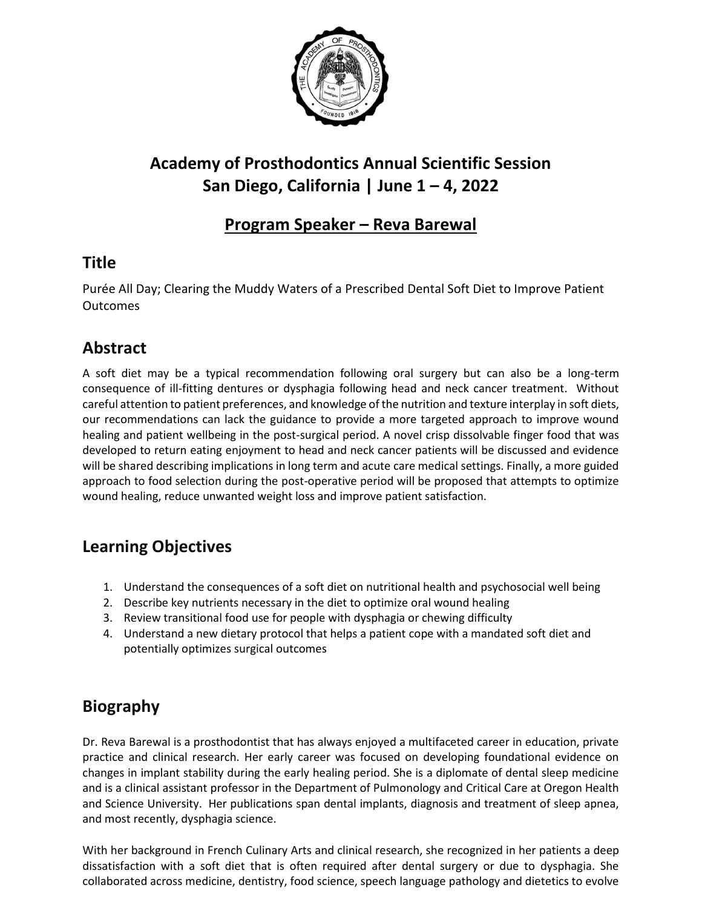

# **Academy of Prosthodontics Annual Scientific Session San Diego, California | June 1 – 4, 2022**

#### **Program Speaker – Reva Barewal**

### **Title**

Purée All Day; Clearing the Muddy Waters of a Prescribed Dental Soft Diet to Improve Patient Outcomes

### **Abstract**

A soft diet may be a typical recommendation following oral surgery but can also be a long-term consequence of ill-fitting dentures or dysphagia following head and neck cancer treatment. Without careful attention to patient preferences, and knowledge of the nutrition and texture interplay in soft diets, our recommendations can lack the guidance to provide a more targeted approach to improve wound healing and patient wellbeing in the post-surgical period. A novel crisp dissolvable finger food that was developed to return eating enjoyment to head and neck cancer patients will be discussed and evidence will be shared describing implications in long term and acute care medical settings. Finally, a more guided approach to food selection during the post-operative period will be proposed that attempts to optimize wound healing, reduce unwanted weight loss and improve patient satisfaction.

# **Learning Objectives**

- 1. Understand the consequences of a soft diet on nutritional health and psychosocial well being
- 2. Describe key nutrients necessary in the diet to optimize oral wound healing
- 3. Review transitional food use for people with dysphagia or chewing difficulty
- 4. Understand a new dietary protocol that helps a patient cope with a mandated soft diet and potentially optimizes surgical outcomes

# **Biography**

Dr. Reva Barewal is a prosthodontist that has always enjoyed a multifaceted career in education, private practice and clinical research. Her early career was focused on developing foundational evidence on changes in implant stability during the early healing period. She is a diplomate of dental sleep medicine and is a clinical assistant professor in the Department of Pulmonology and Critical Care at Oregon Health and Science University. Her publications span dental implants, diagnosis and treatment of sleep apnea, and most recently, dysphagia science.

With her background in French Culinary Arts and clinical research, she recognized in her patients a deep dissatisfaction with a soft diet that is often required after dental surgery or due to dysphagia. She collaborated across medicine, dentistry, food science, speech language pathology and dietetics to evolve